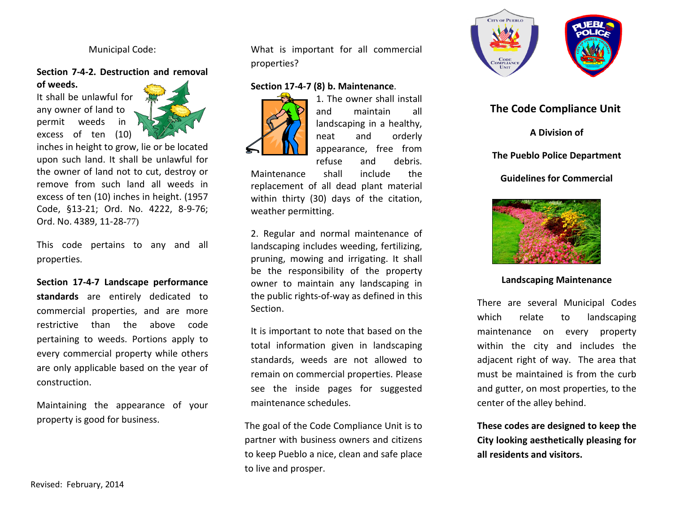### Municipal Code:

# **Section 7-4-2. Destruction and removal**

**of weeds.** It shall be unlawful for any owner of land to permit weeds in excess of ten (10)



inches in height to grow, lie or be located upon such land. It shall be unlawful for the owner of land not to cut, destroy or remove from such land all weeds in excess of ten (10) inches in height. (1957 Code, §13-21; Ord. No. 4222, 8-9-76; Ord. No. 4389, 11-28-77)

This code pertains to any and all properties.

**Section 17-4-7 Landscape performance standards** are entirely dedicated to commercial properties, and are more restrictive than the above code pertaining to weeds. Portions apply to every commercial property while others are only applicable based on the year of construction.

Maintaining the appearance of your property is good for business.

What is important for all commercial properties?

# **Section 17-4-7 (8) b. Maintenance**.



1. The owner shall install and maintain all landscaping in a healthy, neat and orderly appearance, free from refuse and debris.

Maintenance shall include the replacement of all dead plant material within thirty (30) days of the citation, weather permitting.

2. Regular and normal maintenance of landscaping includes weeding, fertilizing, pruning, mowing and irrigating. It shall be the responsibility of the property owner to maintain any landscaping in the public rights-of-way as defined in this Section.

It is important to note that based on the total information given in landscaping standards, weeds are not allowed to remain on commercial properties. Please see the inside pages for suggested maintenance schedules.

The goal of the Code Compliance Unit is to partner with business owners and citizens to keep Pueblo a nice, clean and safe place to live and prosper.



# **The Code Compliance Unit**

**A Division of**

# **The Pueblo Police Department**

# **Guidelines for Commercial**



#### **Landscaping Maintenance**

There are several Municipal Codes which relate to landscaping maintenance on every property within the city and includes the adjacent right of way. The area that must be maintained is from the curb and gutter, on most properties, to the center of the alley behind.

**These codes are designed to keep the City looking aesthetically pleasing for all residents and visitors.**